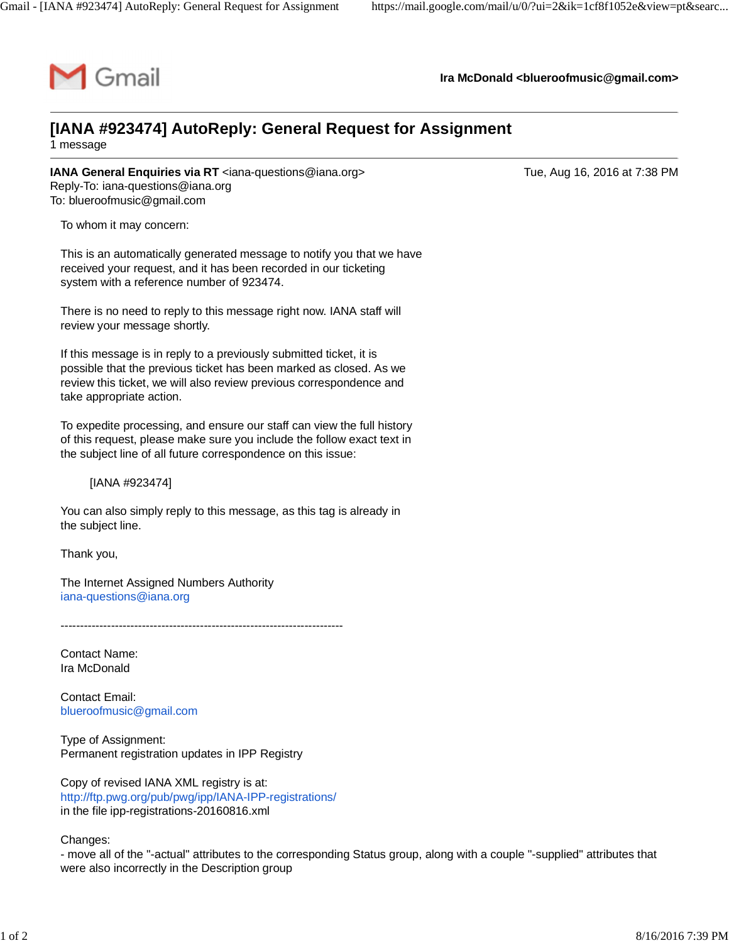

**Ira McDonald [<blueroofmusic@gmail.com](mailto:blueroofmusic@gmail.com)>**

## **[IANA #923474] AutoReply: General Request for Assignment**

1 message

**IANA General Enquiries via RT** [<iana-questions@iana.org>](mailto:iana-questions@iana.org) Tue, Aug 16, 2016 at 7:38 PM Reply-To: [iana-questions@iana.org](mailto:iana-questions@iana.org) To: [blueroofmusic@gmail.com](mailto:blueroofmusic@gmail.com)

To whom it may concern:

This is an automatically generated message to notify you that we have received your request, and it has been recorded in our ticketing system with a reference number of 923474.

There is no need to reply to this message right now. IANA staff will review your message shortly.

If this message is in reply to a previously submitted ticket, it is possible that the previous ticket has been marked as closed. As we review this ticket, we will also review previous correspondence and take appropriate action.

To expedite processing, and ensure our staff can view the full history of this request, please make sure you include the follow exact text in the subject line of all future correspondence on this issue:

[IANA #923474]

You can also simply reply to this message, as this tag is already in the subject line.

Thank you,

The Internet Assigned Numbers Authority [iana-questions@iana.org](mailto:iana-questions@iana.org)

-------------------------------------------------------------------------

Contact Name: Ira McDonald

Contact Email: [blueroofmusic@gmail.com](mailto:blueroofmusic@gmail.com)

Type of Assignment: Permanent registration updates in IPP Registry

Copy of revised IANA XML registry is at: <http://ftp.pwg.org/pub/pwg/ipp/IANA-IPP-registrations/> in the file ipp-registrations-20160816.xml

Changes:

- move all of the "-actual" attributes to the corresponding Status group, along with a couple "-supplied" attributes that were also incorrectly in the Description group